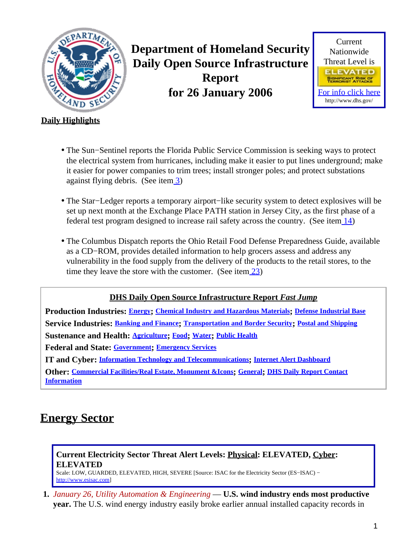<span id="page-0-1"></span>

**Department of Homeland Security Daily Open Source Infrastructure Report for 26 January 2006**



#### **Daily Highlights**

- The Sun−Sentinel reports the Florida Public Service Commission is seeking ways to protect the electrical system from hurricanes, including make it easier to put lines underground; make it easier for power companies to trim trees; install stronger poles; and protect substations against flying debris. (See item [3](#page-1-0))
- The Star−Ledger reports a temporary airport−like security system to detect explosives will be set up next month at the Exchange Place PATH station in Jersey City, as the first phase of a federal test program designed to increase rail safety across the country. (See ite[m 14](#page-6-0))
- The Columbus Dispatch reports the Ohio Retail Food Defense Preparedness Guide, available as a CD−ROM, provides detailed information to help grocers assess and address any vulnerability in the food supply from the delivery of the products to the retail stores, to the time they leave the store with the customer. (See item [23\)](#page-9-0)

#### **DHS Daily Open Source Infrastructure Report** *Fast Jump*

**Production Industries: [Energy](#page-0-0); [Chemical Industry and Hazardous Materials](#page-2-0); [Defense Industrial Base](#page-2-1) Service Industries: [Banking and Finance](#page-4-0); [Transportation and Border Security](#page-4-1); [Postal and Shipping](#page-7-0) Sustenance and Health: [Agriculture](#page-7-1); [Food](#page-8-0); [Water](#page-9-1); [Public Health](#page-10-0) Federal and State: [Government](#page-12-0); [Emergency Services](#page-12-1)**

**IT and Cyber: [Information Technology and Telecommunications](#page-14-0); [Internet Alert Dashboard](#page-16-0)**

**Other: [Commercial Facilities/Real Estate, Monument &Icons](#page-17-0); [General](#page-18-0); [DHS Daily Report Contact](#page-18-1) [Information](#page-18-1)**

# <span id="page-0-0"></span>**Energy Sector**

### **Current Electricity Sector Threat Alert Levels: Physical: ELEVATED, Cyber: ELEVATED**

Scale: LOW, GUARDED, ELEVATED, HIGH, SEVERE [Source: ISAC for the Electricity Sector (ES−ISAC) − [http://www.esisac.com](http://esisac.com)]

**1.** *January 26, Utility Automation & Engineering* — **U.S. wind industry ends most productive year.** The U.S. wind energy industry easily broke earlier annual installed capacity records in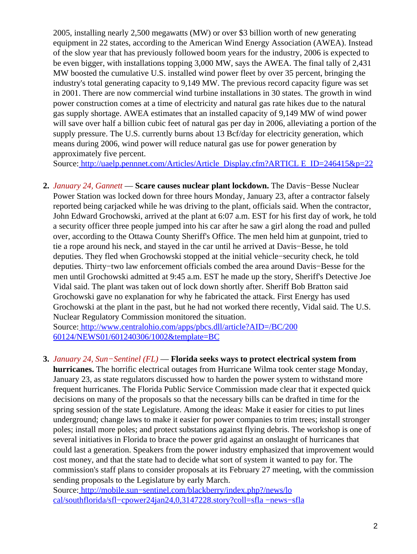2005, installing nearly 2,500 megawatts (MW) or over \$3 billion worth of new generating equipment in 22 states, according to the American Wind Energy Association (AWEA). Instead of the slow year that has previously followed boom years for the industry, 2006 is expected to be even bigger, with installations topping 3,000 MW, says the AWEA. The final tally of 2,431 MW boosted the cumulative U.S. installed wind power fleet by over 35 percent, bringing the industry's total generating capacity to 9,149 MW. The previous record capacity figure was set in 2001. There are now commercial wind turbine installations in 30 states. The growth in wind power construction comes at a time of electricity and natural gas rate hikes due to the natural gas supply shortage. AWEA estimates that an installed capacity of 9,149 MW of wind power will save over half a billion cubic feet of natural gas per day in 2006, alleviating a portion of the supply pressure. The U.S. currently burns about 13 Bcf/day for electricity generation, which means during 2006, wind power will reduce natural gas use for power generation by approximately five percent.

Source[: http://uaelp.pennnet.com/Articles/Article\\_Display.cfm?ARTICL E\\_ID=246415&p=22](http://uaelp.pennnet.com/Articles/Article_Display.cfm?ARTICLE_ID=246415&p=22)

2. *January 24, Gannett* — Scare causes nuclear plant lockdown. The Davis–Besse Nuclear Power Station was locked down for three hours Monday, January 23, after a contractor falsely reported being carjacked while he was driving to the plant, officials said. When the contractor, John Edward Grochowski, arrived at the plant at 6:07 a.m. EST for his first day of work, he told a security officer three people jumped into his car after he saw a girl along the road and pulled over, according to the Ottawa County Sheriff's Office. The men held him at gunpoint, tried to tie a rope around his neck, and stayed in the car until he arrived at Davis−Besse, he told deputies. They fled when Grochowski stopped at the initial vehicle−security check, he told deputies. Thirty−two law enforcement officials combed the area around Davis−Besse for the men until Grochowski admitted at 9:45 a.m. EST he made up the story, Sheriff's Detective Joe Vidal said. The plant was taken out of lock down shortly after. Sheriff Bob Bratton said Grochowski gave no explanation for why he fabricated the attack. First Energy has used Grochowski at the plant in the past, but he had not worked there recently, Vidal said. The U.S. Nuclear Regulatory Commission monitored the situation.

Source[: http://www.centralohio.com/apps/pbcs.dll/article?AID=/BC/200](http://www.centralohio.com/apps/pbcs.dll/article?AID=/BC/20060124/NEWS01/601240306/1002&template=BC) [60124/NEWS01/601240306/1002&template=BC](http://www.centralohio.com/apps/pbcs.dll/article?AID=/BC/20060124/NEWS01/601240306/1002&template=BC)

#### <span id="page-1-0"></span>**3.** *January 24, Sun−Sentinel (FL)* — **Florida seeks ways to protect electrical system from**

**hurricanes.** The horrific electrical outages from Hurricane Wilma took center stage Monday, January 23, as state regulators discussed how to harden the power system to withstand more frequent hurricanes. The Florida Public Service Commission made clear that it expected quick decisions on many of the proposals so that the necessary bills can be drafted in time for the spring session of the state Legislature. Among the ideas: Make it easier for cities to put lines underground; change laws to make it easier for power companies to trim trees; install stronger poles; install more poles; and protect substations against flying debris. The workshop is one of several initiatives in Florida to brace the power grid against an onslaught of hurricanes that could last a generation. Speakers from the power industry emphasized that improvement would cost money, and that the state had to decide what sort of system it wanted to pay for. The commission's staff plans to consider proposals at its February 27 meeting, with the commission sending proposals to the Legislature by early March.

Source[: http://mobile.sun−sentinel.com/blackberry/index.php?/news/lo](http://mobile.sun-sentinel.com/blackberry/index.php?/news/local/southflorida/sfl-cpower24jan24,0,3147228.story?coll=sfla-news-sfla) [cal/southflorida/sfl−cpower24jan24,0,3147228.story?coll=sfla −news−sfla](http://mobile.sun-sentinel.com/blackberry/index.php?/news/local/southflorida/sfl-cpower24jan24,0,3147228.story?coll=sfla-news-sfla)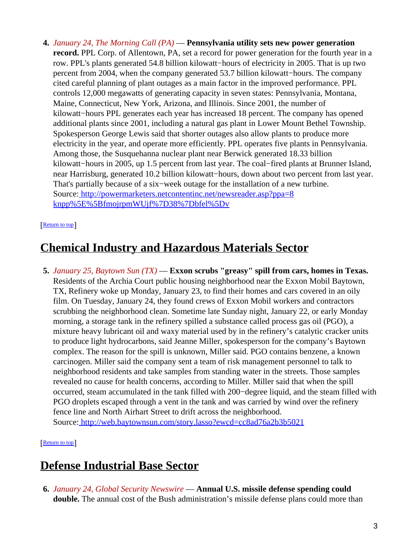**4.** *January 24, The Morning Call (PA)* — **Pennsylvania utility sets new power generation record.** PPL Corp. of Allentown, PA, set a record for power generation for the fourth year in a row. PPL's plants generated 54.8 billion kilowatt−hours of electricity in 2005. That is up two percent from 2004, when the company generated 53.7 billion kilowatt−hours. The company cited careful planning of plant outages as a main factor in the improved performance. PPL controls 12,000 megawatts of generating capacity in seven states: Pennsylvania, Montana, Maine, Connecticut, New York, Arizona, and Illinois. Since 2001, the number of kilowatt−hours PPL generates each year has increased 18 percent. The company has opened additional plants since 2001, including a natural gas plant in Lower Mount Bethel Township. Spokesperson George Lewis said that shorter outages also allow plants to produce more electricity in the year, and operate more efficiently. PPL operates five plants in Pennsylvania. Among those, the Susquehanna nuclear plant near Berwick generated 18.33 billion kilowatt−hours in 2005, up 1.5 percent from last year. The coal−fired plants at Brunner Island, near Harrisburg, generated 10.2 billion kilowatt−hours, down about two percent from last year. That's partially because of a six−week outage for the installation of a new turbine. Source[: http://powermarketers.netcontentinc.net/newsreader.asp?ppa=8](http://powermarketers.netcontentinc.net/newsreader.asp?ppa=8knpp%5E%5BfmojrpmWUjf%7D38%7Dbfel%5Dv) [knpp%5E%5BfmojrpmWUjf%7D38%7Dbfel%5Dv](http://powermarketers.netcontentinc.net/newsreader.asp?ppa=8knpp%5E%5BfmojrpmWUjf%7D38%7Dbfel%5Dv)

#### [[Return to top](#page-0-1)]

### <span id="page-2-0"></span>**Chemical Industry and Hazardous Materials Sector**

**5.** *January 25, Baytown Sun (TX)* — **Exxon scrubs "greasy" spill from cars, homes in Texas.** Residents of the Archia Court public housing neighborhood near the Exxon Mobil Baytown, TX, Refinery woke up Monday, January 23, to find their homes and cars covered in an oily film. On Tuesday, January 24, they found crews of Exxon Mobil workers and contractors scrubbing the neighborhood clean. Sometime late Sunday night, January 22, or early Monday morning, a storage tank in the refinery spilled a substance called process gas oil (PGO), a mixture heavy lubricant oil and waxy material used by in the refinery's catalytic cracker units to produce light hydrocarbons, said Jeanne Miller, spokesperson for the company's Baytown complex. The reason for the spill is unknown, Miller said. PGO contains benzene, a known carcinogen. Miller said the company sent a team of risk management personnel to talk to neighborhood residents and take samples from standing water in the streets. Those samples revealed no cause for health concerns, according to Miller. Miller said that when the spill occurred, steam accumulated in the tank filled with 200−degree liquid, and the steam filled with PGO droplets escaped through a vent in the tank and was carried by wind over the refinery fence line and North Airhart Street to drift across the neighborhood. Source[: http://web.baytownsun.com/story.lasso?ewcd=cc8ad76a2b3b5021](http://web.baytownsun.com/story.lasso?ewcd=cc8ad76a2b3b5021)

[[Return to top](#page-0-1)]

### <span id="page-2-1"></span>**Defense Industrial Base Sector**

**6.** *January 24, Global Security Newswire* — **Annual U.S. missile defense spending could double.** The annual cost of the Bush administration's missile defense plans could more than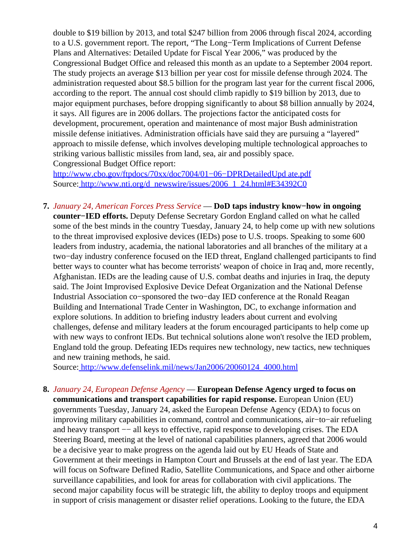double to \$19 billion by 2013, and total \$247 billion from 2006 through fiscal 2024, according to a U.S. government report. The report, "The Long−Term Implications of Current Defense Plans and Alternatives: Detailed Update for Fiscal Year 2006," was produced by the Congressional Budget Office and released this month as an update to a September 2004 report. The study projects an average \$13 billion per year cost for missile defense through 2024. The administration requested about \$8.5 billion for the program last year for the current fiscal 2006, according to the report. The annual cost should climb rapidly to \$19 billion by 2013, due to major equipment purchases, before dropping significantly to about \$8 billion annually by 2024, it says. All figures are in 2006 dollars. The projections factor the anticipated costs for development, procurement, operation and maintenance of most major Bush administration missile defense initiatives. Administration officials have said they are pursuing a "layered" approach to missile defense, which involves developing multiple technological approaches to striking various ballistic missiles from land, sea, air and possibly space. Congressional Budget Office report:

[http://www.cbo.gov/ftpdocs/70xx/doc7004/01−06−DPRDetailedUpd ate.pdf](http://www.cbo.gov/ftpdocs/70xx/doc7004/01-06-DPRDetailedUpdate.pdf) Source[: http://www.nti.org/d\\_newswire/issues/2006\\_1\\_24.html#E34392C0](http://www.nti.org/d_newswire/issues/2006_1_24.html#E34392C0)

**7.** *January 24, American Forces Press Service* — **DoD taps industry know−how in ongoing counter−IED efforts.** Deputy Defense Secretary Gordon England called on what he called some of the best minds in the country Tuesday, January 24, to help come up with new solutions to the threat improvised explosive devices (IEDs) pose to U.S. troops. Speaking to some 600 leaders from industry, academia, the national laboratories and all branches of the military at a two−day industry conference focused on the IED threat, England challenged participants to find better ways to counter what has become terrorists' weapon of choice in Iraq and, more recently, Afghanistan. IEDs are the leading cause of U.S. combat deaths and injuries in Iraq, the deputy said. The Joint Improvised Explosive Device Defeat Organization and the National Defense Industrial Association co−sponsored the two−day IED conference at the Ronald Reagan Building and International Trade Center in Washington, DC, to exchange information and explore solutions. In addition to briefing industry leaders about current and evolving challenges, defense and military leaders at the forum encouraged participants to help come up with new ways to confront IEDs. But technical solutions alone won't resolve the IED problem, England told the group. Defeating IEDs requires new technology, new tactics, new techniques and new training methods, he said.

Source[: http://www.defenselink.mil/news/Jan2006/20060124\\_4000.html](http://www.defenselink.mil/news/Jan2006/20060124_4000.html)

**8.** *January 24, European Defense Agency* — **European Defense Agency urged to focus on communications and transport capabilities for rapid response.** European Union (EU) governments Tuesday, January 24, asked the European Defense Agency (EDA) to focus on improving military capabilities in command, control and communications, air−to−air refueling and heavy transport —− all keys to effective, rapid response to developing crises. The EDA Steering Board, meeting at the level of national capabilities planners, agreed that 2006 would be a decisive year to make progress on the agenda laid out by EU Heads of State and Government at their meetings in Hampton Court and Brussels at the end of last year. The EDA will focus on Software Defined Radio, Satellite Communications, and Space and other airborne surveillance capabilities, and look for areas for collaboration with civil applications. The second major capability focus will be strategic lift, the ability to deploy troops and equipment in support of crisis management or disaster relief operations. Looking to the future, the EDA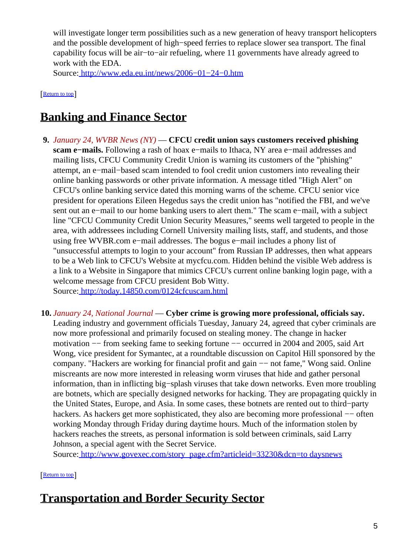will investigate longer term possibilities such as a new generation of heavy transport helicopters and the possible development of high−speed ferries to replace slower sea transport. The final capability focus will be air−to−air refueling, where 11 governments have already agreed to work with the EDA.

Source[: http://www.eda.eu.int/news/2006−01−24−0.htm](http://www.eda.eu.int/news/2006-01-24-0.htm)

[[Return to top](#page-0-1)]

# <span id="page-4-0"></span>**Banking and Finance Sector**

- **9.** *January 24, WVBR News (NY)* — **CFCU credit union says customers received phishing scam e−mails.** Following a rash of hoax e−mails to Ithaca, NY area e−mail addresses and mailing lists, CFCU Community Credit Union is warning its customers of the "phishing" attempt, an e−mail−based scam intended to fool credit union customers into revealing their online banking passwords or other private information. A message titled "High Alert" on CFCU's online banking service dated this morning warns of the scheme. CFCU senior vice president for operations Eileen Hegedus says the credit union has "notified the FBI, and we've sent out an e−mail to our home banking users to alert them." The scam e−mail, with a subject line "CFCU Community Credit Union Security Measures," seems well targeted to people in the area, with addressees including Cornell University mailing lists, staff, and students, and those using free WVBR.com e−mail addresses. The bogus e−mail includes a phony list of "unsuccessful attempts to login to your account" from Russian IP addresses, then what appears to be a Web link to CFCU's Website at mycfcu.com. Hidden behind the visible Web address is a link to a Website in Singapore that mimics CFCU's current online banking login page, with a welcome message from CFCU president Bob Witty. Source[: http://today.14850.com/0124cfcuscam.html](http://today.14850.com/0124cfcuscam.html)
- **10.** *January 24, National Journal* — **Cyber crime is growing more professional, officials say.** Leading industry and government officials Tuesday, January 24, agreed that cyber criminals are now more professional and primarily focused on stealing money. The change in hacker motivation −− from seeking fame to seeking fortune −− occurred in 2004 and 2005, said Art Wong, vice president for Symantec, at a roundtable discussion on Capitol Hill sponsored by the company. "Hackers are working for financial profit and gain −− not fame," Wong said. Online miscreants are now more interested in releasing worm viruses that hide and gather personal information, than in inflicting big−splash viruses that take down networks. Even more troubling are botnets, which are specially designed networks for hacking. They are propagating quickly in the United States, Europe, and Asia. In some cases, these botnets are rented out to third−party hackers. As hackers get more sophisticated, they also are becoming more professional –– often working Monday through Friday during daytime hours. Much of the information stolen by hackers reaches the streets, as personal information is sold between criminals, said Larry Johnson, a special agent with the Secret Service.

Source[: http://www.govexec.com/story\\_page.cfm?articleid=33230&dcn=to daysnews](http://www.govexec.com/story_page.cfm?articleid=33230&dcn=todaysnews)

[[Return to top](#page-0-1)]

# <span id="page-4-1"></span>**Transportation and Border Security Sector**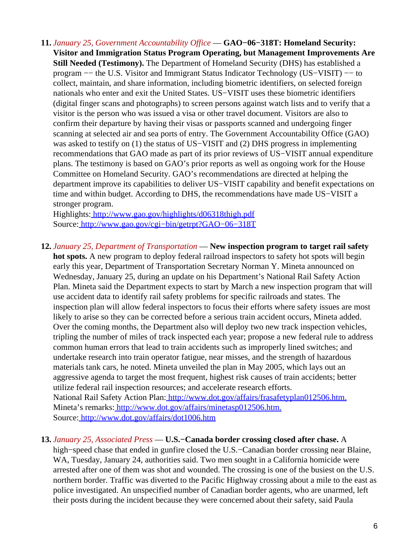**11.** *January 25, Government Accountability Office* — **GAO−06−318T: Homeland Security: Visitor and Immigration Status Program Operating, but Management Improvements Are Still Needed (Testimony).** The Department of Homeland Security (DHS) has established a program −− the U.S. Visitor and Immigrant Status Indicator Technology (US−VISIT) −− to collect, maintain, and share information, including biometric identifiers, on selected foreign nationals who enter and exit the United States. US−VISIT uses these biometric identifiers (digital finger scans and photographs) to screen persons against watch lists and to verify that a visitor is the person who was issued a visa or other travel document. Visitors are also to confirm their departure by having their visas or passports scanned and undergoing finger scanning at selected air and sea ports of entry. The Government Accountability Office (GAO) was asked to testify on (1) the status of US−VISIT and (2) DHS progress in implementing recommendations that GAO made as part of its prior reviews of US−VISIT annual expenditure plans. The testimony is based on GAO's prior reports as well as ongoing work for the House Committee on Homeland Security. GAO's recommendations are directed at helping the department improve its capabilities to deliver US−VISIT capability and benefit expectations on time and within budget. According to DHS, the recommendations have made US−VISIT a stronger program.

Highlights:<http://www.gao.gov/highlights/d06318thigh.pdf> Source[: http://www.gao.gov/cgi−bin/getrpt?GAO−06−318T](http://www.gao.gov/cgi-bin/getrpt?GAO-06-318T)

**12.** *January 25, Department of Transportation* — **New inspection program to target rail safety hot spots.** A new program to deploy federal railroad inspectors to safety hot spots will begin early this year, Department of Transportation Secretary Norman Y. Mineta announced on Wednesday, January 25, during an update on his Department's National Rail Safety Action Plan. Mineta said the Department expects to start by March a new inspection program that will use accident data to identify rail safety problems for specific railroads and states. The inspection plan will allow federal inspectors to focus their efforts where safety issues are most likely to arise so they can be corrected before a serious train accident occurs, Mineta added. Over the coming months, the Department also will deploy two new track inspection vehicles, tripling the number of miles of track inspected each year; propose a new federal rule to address common human errors that lead to train accidents such as improperly lined switches; and undertake research into train operator fatigue, near misses, and the strength of hazardous materials tank cars, he noted. Mineta unveiled the plan in May 2005, which lays out an aggressive agenda to target the most frequent, highest risk causes of train accidents; better utilize federal rail inspection resources; and accelerate research efforts.

National Rail Safety Action Plan[: http://www.dot.gov/affairs/frasafetyplan012506.htm.](http://www.dot.gov/affairs/frasafetyplan012506.htm.) Mineta's remarks:<http://www.dot.gov/affairs/minetasp012506.htm.> Source[: http://www.dot.gov/affairs/dot1006.htm](http://www.dot.gov/affairs/dot1006.htm)

#### **13.** *January 25, Associated Press* — **U.S.−Canada border crossing closed after chase.** A

high−speed chase that ended in gunfire closed the U.S.−Canadian border crossing near Blaine, WA, Tuesday, January 24, authorities said. Two men sought in a California homicide were arrested after one of them was shot and wounded. The crossing is one of the busiest on the U.S. northern border. Traffic was diverted to the Pacific Highway crossing about a mile to the east as police investigated. An unspecified number of Canadian border agents, who are unarmed, left their posts during the incident because they were concerned about their safety, said Paula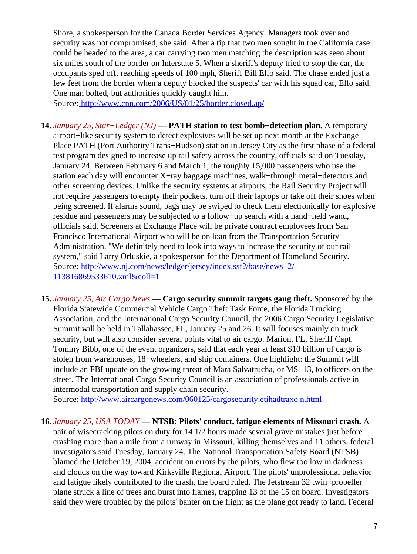Shore, a spokesperson for the Canada Border Services Agency. Managers took over and security was not compromised, she said. After a tip that two men sought in the California case could be headed to the area, a car carrying two men matching the description was seen about six miles south of the border on Interstate 5. When a sheriff's deputy tried to stop the car, the occupants sped off, reaching speeds of 100 mph, Sheriff Bill Elfo said. The chase ended just a few feet from the border when a deputy blocked the suspects' car with his squad car, Elfo said. One man bolted, but authorities quickly caught him.

Source[: http://www.cnn.com/2006/US/01/25/border.closed.ap/](http://www.cnn.com/2006/US/01/25/border.closed.ap/)

- <span id="page-6-0"></span>**14.** *January 25, Star−Ledger (NJ)* — **PATH station to test bomb−detection plan.** A temporary airport−like security system to detect explosives will be set up next month at the Exchange Place PATH (Port Authority Trans−Hudson) station in Jersey City as the first phase of a federal test program designed to increase up rail safety across the country, officials said on Tuesday, January 24. Between February 6 and March 1, the roughly 15,000 passengers who use the station each day will encounter X−ray baggage machines, walk−through metal−detectors and other screening devices. Unlike the security systems at airports, the Rail Security Project will not require passengers to empty their pockets, turn off their laptops or take off their shoes when being screened. If alarms sound, bags may be swiped to check them electronically for explosive residue and passengers may be subjected to a follow−up search with a hand−held wand, officials said. Screeners at Exchange Place will be private contract employees from San Francisco International Airport who will be on loan from the Transportation Security Administration. "We definitely need to look into ways to increase the security of our rail system," said Larry Orluskie, a spokesperson for the Department of Homeland Security. Source[: http://www.nj.com/news/ledger/jersey/index.ssf?/base/news−2/](http://www.nj.com/news/ledger/jersey/index.ssf?/base/news-2/113816869533610.xml&coll=1) [113816869533610.xml&coll=1](http://www.nj.com/news/ledger/jersey/index.ssf?/base/news-2/113816869533610.xml&coll=1)
- **15.** *January 25, Air Cargo News* — **Cargo security summit targets gang theft.** Sponsored by the Florida Statewide Commercial Vehicle Cargo Theft Task Force, the Florida Trucking Association, and the International Cargo Security Council, the 2006 Cargo Security Legislative Summit will be held in Tallahassee, FL, January 25 and 26. It will focuses mainly on truck security, but will also consider several points vital to air cargo. Marion, FL, Sheriff Capt. Tommy Bibb, one of the event organizers, said that each year at least \$10 billion of cargo is stolen from warehouses, 18−wheelers, and ship containers. One highlight: the Summit will include an FBI update on the growing threat of Mara Salvatrucha, or MS−13, to officers on the street. The International Cargo Security Council is an association of professionals active in intermodal transportation and supply chain security.

Source[: http://www.aircargonews.com/060125/cargosecurity.etihadtraxo n.html](http://www.aircargonews.com/060125/cargosecurity.etihadtraxon.html)

**16.** *January 25, USA TODAY* — **NTSB: Pilots' conduct, fatigue elements of Missouri crash.** A pair of wisecracking pilots on duty for 14 1/2 hours made several grave mistakes just before crashing more than a mile from a runway in Missouri, killing themselves and 11 others, federal investigators said Tuesday, January 24. The National Transportation Safety Board (NTSB) blamed the October 19, 2004, accident on errors by the pilots, who flew too low in darkness and clouds on the way toward Kirksville Regional Airport. The pilots' unprofessional behavior and fatigue likely contributed to the crash, the board ruled. The Jetstream 32 twin−propeller plane struck a line of trees and burst into flames, trapping 13 of the 15 on board. Investigators said they were troubled by the pilots' banter on the flight as the plane got ready to land. Federal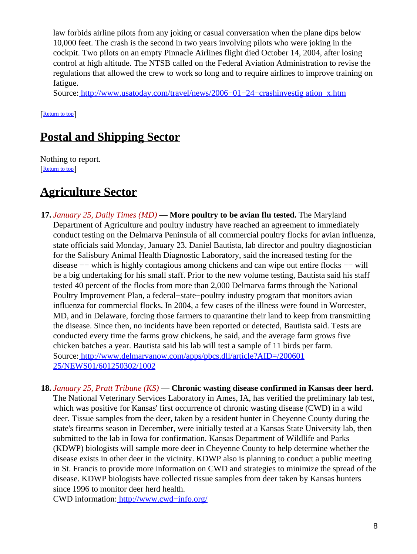law forbids airline pilots from any joking or casual conversation when the plane dips below 10,000 feet. The crash is the second in two years involving pilots who were joking in the cockpit. Two pilots on an empty Pinnacle Airlines flight died October 14, 2004, after losing control at high altitude. The NTSB called on the Federal Aviation Administration to revise the regulations that allowed the crew to work so long and to require airlines to improve training on fatigue.

Source[: http://www.usatoday.com/travel/news/2006−01−24−crashinvestig ation\\_x.htm](http://www.usatoday.com/travel/news/2006-01-24-crashinvestigation_x.htm)

[[Return to top](#page-0-1)]

## <span id="page-7-0"></span>**Postal and Shipping Sector**

Nothing to report. [[Return to top](#page-0-1)]

### <span id="page-7-1"></span>**Agriculture Sector**

- **17.** *January 25, Daily Times (MD)* — **More poultry to be avian flu tested.** The Maryland Department of Agriculture and poultry industry have reached an agreement to immediately conduct testing on the Delmarva Peninsula of all commercial poultry flocks for avian influenza, state officials said Monday, January 23. Daniel Bautista, lab director and poultry diagnostician for the Salisbury Animal Health Diagnostic Laboratory, said the increased testing for the disease −− which is highly contagious among chickens and can wipe out entire flocks −− will be a big undertaking for his small staff. Prior to the new volume testing, Bautista said his staff tested 40 percent of the flocks from more than 2,000 Delmarva farms through the National Poultry Improvement Plan, a federal−state−poultry industry program that monitors avian influenza for commercial flocks. In 2004, a few cases of the illness were found in Worcester, MD, and in Delaware, forcing those farmers to quarantine their land to keep from transmitting the disease. Since then, no incidents have been reported or detected, Bautista said. Tests are conducted every time the farms grow chickens, he said, and the average farm grows five chicken batches a year. Bautista said his lab will test a sample of 11 birds per farm. Source[: http://www.delmarvanow.com/apps/pbcs.dll/article?AID=/200601](http://www.delmarvanow.com/apps/pbcs.dll/article?AID=/20060125/NEWS01/601250302/1002) [25/NEWS01/601250302/1002](http://www.delmarvanow.com/apps/pbcs.dll/article?AID=/20060125/NEWS01/601250302/1002)
- **18.** *January 25, Pratt Tribune (KS)* — **Chronic wasting disease confirmed in Kansas deer herd.** The National Veterinary Services Laboratory in Ames, IA, has verified the preliminary lab test, which was positive for Kansas' first occurrence of chronic wasting disease (CWD) in a wild deer. Tissue samples from the deer, taken by a resident hunter in Cheyenne County during the state's firearms season in December, were initially tested at a Kansas State University lab, then submitted to the lab in Iowa for confirmation. Kansas Department of Wildlife and Parks (KDWP) biologists will sample more deer in Cheyenne County to help determine whether the disease exists in other deer in the vicinity. KDWP also is planning to conduct a public meeting in St. Francis to provide more information on CWD and strategies to minimize the spread of the disease. KDWP biologists have collected tissue samples from deer taken by Kansas hunters since 1996 to monitor deer herd health.

CWD information: [http://www.cwd−info.org/](http://www.cwd-info.org/)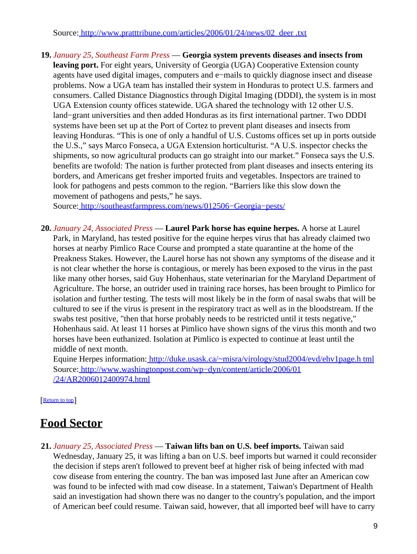Source[: http://www.pratttribune.com/articles/2006/01/24/news/02\\_deer .txt](http://www.pratttribune.com/articles/2006/01/24/news/02_deer.txt)

**19.** *January 25, Southeast Farm Press* — **Georgia system prevents diseases and insects from leaving port.** For eight years, University of Georgia (UGA) Cooperative Extension county agents have used digital images, computers and e−mails to quickly diagnose insect and disease problems. Now a UGA team has installed their system in Honduras to protect U.S. farmers and consumers. Called Distance Diagnostics through Digital Imaging (DDDI), the system is in most UGA Extension county offices statewide. UGA shared the technology with 12 other U.S. land−grant universities and then added Honduras as its first international partner. Two DDDI systems have been set up at the Port of Cortez to prevent plant diseases and insects from leaving Honduras. "This is one of only a handful of U.S. Customs offices set up in ports outside the U.S.," says Marco Fonseca, a UGA Extension horticulturist. "A U.S. inspector checks the shipments, so now agricultural products can go straight into our market." Fonseca says the U.S. benefits are twofold: The nation is further protected from plant diseases and insects entering its borders, and Americans get fresher imported fruits and vegetables. Inspectors are trained to look for pathogens and pests common to the region. "Barriers like this slow down the movement of pathogens and pests," he says.

Source[: http://southeastfarmpress.com/news/012506−Georgia−pests/](http://southeastfarmpress.com/news/012506-Georgia-pests/)

**20.** *January 24, Associated Press* — **Laurel Park horse has equine herpes.** A horse at Laurel Park, in Maryland, has tested positive for the equine herpes virus that has already claimed two horses at nearby Pimlico Race Course and prompted a state quarantine at the home of the Preakness Stakes. However, the Laurel horse has not shown any symptoms of the disease and it is not clear whether the horse is contagious, or merely has been exposed to the virus in the past like many other horses, said Guy Hohenhaus, state veterinarian for the Maryland Department of Agriculture. The horse, an outrider used in training race horses, has been brought to Pimlico for isolation and further testing. The tests will most likely be in the form of nasal swabs that will be cultured to see if the virus is present in the respiratory tract as well as in the bloodstream. If the swabs test positive, "then that horse probably needs to be restricted until it tests negative," Hohenhaus said. At least 11 horses at Pimlico have shown signs of the virus this month and two horses have been euthanized. Isolation at Pimlico is expected to continue at least until the middle of next month.

Equine Herpes information: [http://duke.usask.ca/~misra/virology/stud2004/evd/ehv1page.h tml](http://duke.usask.ca/~misra/virology/stud2004/evd/ehv1page.html) Source[: http://www.washingtonpost.com/wp−dyn/content/article/2006/01](http://www.washingtonpost.com/wp-dyn/content/article/2006/01/24/AR2006012400974.html) [/24/AR2006012400974.html](http://www.washingtonpost.com/wp-dyn/content/article/2006/01/24/AR2006012400974.html)

[[Return to top](#page-0-1)]

## <span id="page-8-0"></span>**Food Sector**

**21.** *January 25, Associated Press* — **Taiwan lifts ban on U.S. beef imports.** Taiwan said Wednesday, January 25, it was lifting a ban on U.S. beef imports but warned it could reconsider the decision if steps aren't followed to prevent beef at higher risk of being infected with mad cow disease from entering the country. The ban was imposed last June after an American cow was found to be infected with mad cow disease. In a statement, Taiwan's Department of Health said an investigation had shown there was no danger to the country's population, and the import of American beef could resume. Taiwan said, however, that all imported beef will have to carry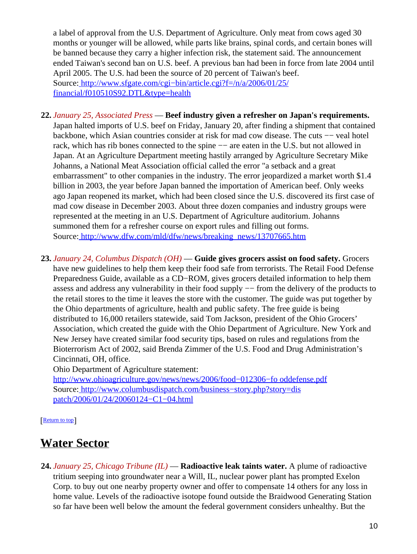a label of approval from the U.S. Department of Agriculture. Only meat from cows aged 30 months or younger will be allowed, while parts like brains, spinal cords, and certain bones will be banned because they carry a higher infection risk, the statement said. The announcement ended Taiwan's second ban on U.S. beef. A previous ban had been in force from late 2004 until April 2005. The U.S. had been the source of 20 percent of Taiwan's beef. Source[: http://www.sfgate.com/cgi−bin/article.cgi?f=/n/a/2006/01/25/](http://www.sfgate.com/cgi-bin/article.cgi?f=/n/a/2006/01/25/financial/f010510S92.DTL&type=health) [financial/f010510S92.DTL&type=health](http://www.sfgate.com/cgi-bin/article.cgi?f=/n/a/2006/01/25/financial/f010510S92.DTL&type=health)

- **22.** *January 25, Associated Press* — **Beef industry given a refresher on Japan's requirements.** Japan halted imports of U.S. beef on Friday, January 20, after finding a shipment that contained backbone, which Asian countries consider at risk for mad cow disease. The cuts –– veal hotel rack, which has rib bones connected to the spine −− are eaten in the U.S. but not allowed in Japan. At an Agriculture Department meeting hastily arranged by Agriculture Secretary Mike Johanns, a National Meat Association official called the error "a setback and a great embarrassment" to other companies in the industry. The error jeopardized a market worth \$1.4 billion in 2003, the year before Japan banned the importation of American beef. Only weeks ago Japan reopened its market, which had been closed since the U.S. discovered its first case of mad cow disease in December 2003. About three dozen companies and industry groups were represented at the meeting in an U.S. Department of Agriculture auditorium. Johanns summoned them for a refresher course on export rules and filling out forms. Source[: http://www.dfw.com/mld/dfw/news/breaking\\_news/13707665.htm](http://www.dfw.com/mld/dfw/news/breaking_news/13707665.htm)
- <span id="page-9-0"></span>**23.** *January 24, Columbus Dispatch (OH)* — **Guide gives grocers assist on food safety.** Grocers have new guidelines to help them keep their food safe from terrorists. The Retail Food Defense Preparedness Guide, available as a CD−ROM, gives grocers detailed information to help them assess and address any vulnerability in their food supply −− from the delivery of the products to the retail stores to the time it leaves the store with the customer. The guide was put together by the Ohio departments of agriculture, health and public safety. The free guide is being distributed to 16,000 retailers statewide, said Tom Jackson, president of the Ohio Grocers' Association, which created the guide with the Ohio Department of Agriculture. New York and New Jersey have created similar food security tips, based on rules and regulations from the Bioterrorism Act of 2002, said Brenda Zimmer of the U.S. Food and Drug Administration's Cincinnati, OH, office.

Ohio Department of Agriculture statement:

[http://www.ohioagriculture.gov/news/news/2006/food−012306−fo oddefense.pdf](http://www.ohioagriculture.gov/news/news/2006/food-012306-fooddefense.pdf) Source[: http://www.columbusdispatch.com/business−story.php?story=dis](http://www.columbusdispatch.com/business-story.php?story=dispatch/2006/01/24/20060124-C1-04.html) [patch/2006/01/24/20060124−C1−04.html](http://www.columbusdispatch.com/business-story.php?story=dispatch/2006/01/24/20060124-C1-04.html)

#### [[Return to top](#page-0-1)]

### <span id="page-9-1"></span>**Water Sector**

**24.** *January 25, Chicago Tribune (IL)* — **Radioactive leak taints water.** A plume of radioactive tritium seeping into groundwater near a Will, IL, nuclear power plant has prompted Exelon Corp. to buy out one nearby property owner and offer to compensate 14 others for any loss in home value. Levels of the radioactive isotope found outside the Braidwood Generating Station so far have been well below the amount the federal government considers unhealthy. But the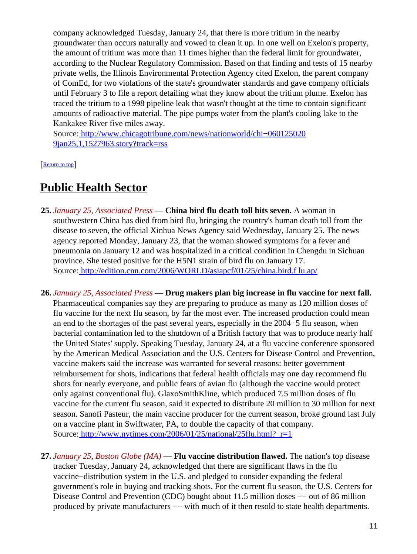company acknowledged Tuesday, January 24, that there is more tritium in the nearby groundwater than occurs naturally and vowed to clean it up. In one well on Exelon's property, the amount of tritium was more than 11 times higher than the federal limit for groundwater, according to the Nuclear Regulatory Commission. Based on that finding and tests of 15 nearby private wells, the Illinois Environmental Protection Agency cited Exelon, the parent company of ComEd, for two violations of the state's groundwater standards and gave company officials until February 3 to file a report detailing what they know about the tritium plume. Exelon has traced the tritium to a 1998 pipeline leak that wasn't thought at the time to contain significant amounts of radioactive material. The pipe pumps water from the plant's cooling lake to the Kankakee River five miles away.

Source[: http://www.chicagotribune.com/news/nationworld/chi−060125020](http://www.chicagotribune.com/news/nationworld/chi-0601250209jan25,1,1527963.story?track=rss) [9jan25,1,1527963.story?track=rss](http://www.chicagotribune.com/news/nationworld/chi-0601250209jan25,1,1527963.story?track=rss)

[[Return to top](#page-0-1)]

### <span id="page-10-0"></span>**Public Health Sector**

- **25.** *January 25, Associated Press* — **China bird flu death toll hits seven.** A woman in southwestern China has died from bird flu, bringing the country's human death toll from the disease to seven, the official Xinhua News Agency said Wednesday, January 25. The news agency reported Monday, January 23, that the woman showed symptoms for a fever and pneumonia on January 12 and was hospitalized in a critical condition in Chengdu in Sichuan province. She tested positive for the H5N1 strain of bird flu on January 17. Source[: http://edition.cnn.com/2006/WORLD/asiapcf/01/25/china.bird.f lu.ap/](http://edition.cnn.com/2006/WORLD/asiapcf/01/25/china.bird.flu.ap/)
- **26.** *January 25, Associated Press* — **Drug makers plan big increase in flu vaccine for next fall.** Pharmaceutical companies say they are preparing to produce as many as 120 million doses of flu vaccine for the next flu season, by far the most ever. The increased production could mean an end to the shortages of the past several years, especially in the 2004−5 flu season, when bacterial contamination led to the shutdown of a British factory that was to produce nearly half the United States' supply. Speaking Tuesday, January 24, at a flu vaccine conference sponsored by the American Medical Association and the U.S. Centers for Disease Control and Prevention, vaccine makers said the increase was warranted for several reasons: better government reimbursement for shots, indications that federal health officials may one day recommend flu shots for nearly everyone, and public fears of avian flu (although the vaccine would protect only against conventional flu). GlaxoSmithKline, which produced 7.5 million doses of flu vaccine for the current flu season, said it expected to distribute 20 million to 30 million for next season. Sanofi Pasteur, the main vaccine producer for the current season, broke ground last July on a vaccine plant in Swiftwater, PA, to double the capacity of that company. Source: http://www.nytimes.com/2006/01/25/national/25flu.html? r=1
- **27.** *January 25, Boston Globe (MA)* — **Flu vaccine distribution flawed.** The nation's top disease tracker Tuesday, January 24, acknowledged that there are significant flaws in the flu vaccine−distribution system in the U.S. and pledged to consider expanding the federal government's role in buying and tracking shots. For the current flu season, the U.S. Centers for Disease Control and Prevention (CDC) bought about 11.5 million doses –– out of 86 million produced by private manufacturers  $-$  with much of it then resold to state health departments.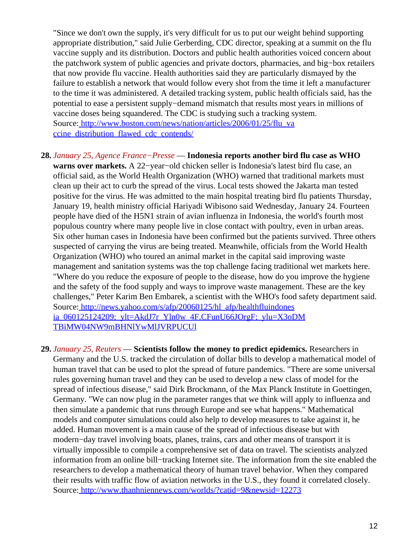"Since we don't own the supply, it's very difficult for us to put our weight behind supporting appropriate distribution," said Julie Gerberding, CDC director, speaking at a summit on the flu vaccine supply and its distribution. Doctors and public health authorities voiced concern about the patchwork system of public agencies and private doctors, pharmacies, and big−box retailers that now provide flu vaccine. Health authorities said they are particularly dismayed by the failure to establish a network that would follow every shot from the time it left a manufacturer to the time it was administered. A detailed tracking system, public health officials said, has the potential to ease a persistent supply−demand mismatch that results most years in millions of vaccine doses being squandered. The CDC is studying such a tracking system. Source[: http://www.boston.com/news/nation/articles/2006/01/25/flu\\_va](http://www.boston.com/news/nation/articles/2006/01/25/flu_vaccine_distribution_flawed_cdc_contends/) [ccine\\_distribution\\_flawed\\_cdc\\_contends/](http://www.boston.com/news/nation/articles/2006/01/25/flu_vaccine_distribution_flawed_cdc_contends/)

**28.** *January 25, Agence France−Presse* — **Indonesia reports another bird flu case as WHO warns over markets.** A 22−year−old chicken seller is Indonesia's latest bird flu case, an official said, as the World Health Organization (WHO) warned that traditional markets must clean up their act to curb the spread of the virus. Local tests showed the Jakarta man tested positive for the virus. He was admitted to the main hospital treating bird flu patients Thursday, January 19, health ministry official Hariyadi Wibisono said Wednesday, January 24. Fourteen people have died of the H5N1 strain of avian influenza in Indonesia, the world's fourth most populous country where many people live in close contact with poultry, even in urban areas. Six other human cases in Indonesia have been confirmed but the patients survived. Three others suspected of carrying the virus are being treated. Meanwhile, officials from the World Health Organization (WHO) who toured an animal market in the capital said improving waste management and sanitation systems was the top challenge facing traditional wet markets here. "Where do you reduce the exposure of people to the disease, how do you improve the hygiene and the safety of the food supply and ways to improve waste management. These are the key challenges," Peter Karim Ben Embarek, a scientist with the WHO's food safety department said. Source[: http://news.yahoo.com/s/afp/20060125/hl\\_afp/healthfluindones](http://news.yahoo.com/s/afp/20060125/hl_afp/healthfluindonesia_060125124209;_ylt=AkdJ7r_Yln0w_4F.CFunU66JOrgF;_ylu=X3oDMTBiMW04NW9mBHNlYwMlJVRPUCUl) [ia\\_060125124209;\\_ylt=AkdJ7r\\_Yln0w\\_4F.CFunU66JOrgF;\\_ylu=X3oDM](http://news.yahoo.com/s/afp/20060125/hl_afp/healthfluindonesia_060125124209;_ylt=AkdJ7r_Yln0w_4F.CFunU66JOrgF;_ylu=X3oDMTBiMW04NW9mBHNlYwMlJVRPUCUl)

[TBiMW04NW9mBHNlYwMlJVRPUCUl](http://news.yahoo.com/s/afp/20060125/hl_afp/healthfluindonesia_060125124209;_ylt=AkdJ7r_Yln0w_4F.CFunU66JOrgF;_ylu=X3oDMTBiMW04NW9mBHNlYwMlJVRPUCUl)

**29.** *January 25, Reuters* — **Scientists follow the money to predict epidemics.** Researchers in Germany and the U.S. tracked the circulation of dollar bills to develop a mathematical model of human travel that can be used to plot the spread of future pandemics. "There are some universal rules governing human travel and they can be used to develop a new class of model for the spread of infectious disease," said Dirk Brockmann, of the Max Planck Institute in Goettingen, Germany. "We can now plug in the parameter ranges that we think will apply to influenza and then simulate a pandemic that runs through Europe and see what happens." Mathematical models and computer simulations could also help to develop measures to take against it, he added. Human movement is a main cause of the spread of infectious disease but with modern−day travel involving boats, planes, trains, cars and other means of transport it is virtually impossible to compile a comprehensive set of data on travel. The scientists analyzed information from an online bill−tracking Internet site. The information from the site enabled the researchers to develop a mathematical theory of human travel behavior. When they compared their results with traffic flow of aviation networks in the U.S., they found it correlated closely. Source[: http://www.thanhniennews.com/worlds/?catid=9&newsid=12273](http://www.thanhniennews.com/worlds/?catid=9&newsid=12273)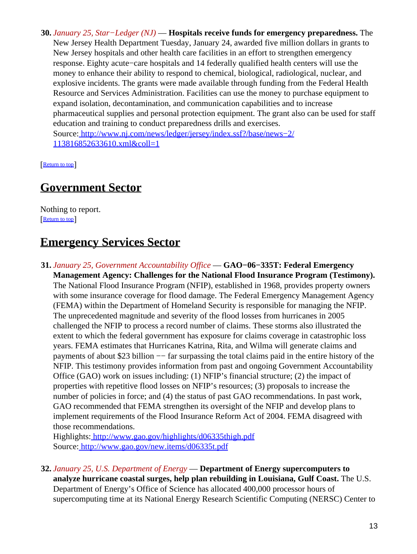**30.** *January 25, Star−Ledger (NJ)* — **Hospitals receive funds for emergency preparedness.** The New Jersey Health Department Tuesday, January 24, awarded five million dollars in grants to New Jersey hospitals and other health care facilities in an effort to strengthen emergency response. Eighty acute−care hospitals and 14 federally qualified health centers will use the money to enhance their ability to respond to chemical, biological, radiological, nuclear, and explosive incidents. The grants were made available through funding from the Federal Health Resource and Services Administration. Facilities can use the money to purchase equipment to expand isolation, decontamination, and communication capabilities and to increase pharmaceutical supplies and personal protection equipment. The grant also can be used for staff education and training to conduct preparedness drills and exercises. Source[: http://www.nj.com/news/ledger/jersey/index.ssf?/base/news−2/](http://www.nj.com/news/ledger/jersey/index.ssf?/base/news-2/113816852633610.xml&coll=1) [113816852633610.xml&coll=1](http://www.nj.com/news/ledger/jersey/index.ssf?/base/news-2/113816852633610.xml&coll=1)

[[Return to top](#page-0-1)]

### <span id="page-12-0"></span>**Government Sector**

Nothing to report. [[Return to top](#page-0-1)]

## <span id="page-12-1"></span>**Emergency Services Sector**

**31.** *January 25, Government Accountability Office* — **GAO−06−335T: Federal Emergency Management Agency: Challenges for the National Flood Insurance Program (Testimony).** The National Flood Insurance Program (NFIP), established in 1968, provides property owners with some insurance coverage for flood damage. The Federal Emergency Management Agency (FEMA) within the Department of Homeland Security is responsible for managing the NFIP. The unprecedented magnitude and severity of the flood losses from hurricanes in 2005 challenged the NFIP to process a record number of claims. These storms also illustrated the extent to which the federal government has exposure for claims coverage in catastrophic loss years. FEMA estimates that Hurricanes Katrina, Rita, and Wilma will generate claims and payments of about \$23 billion −− far surpassing the total claims paid in the entire history of the NFIP. This testimony provides information from past and ongoing Government Accountability Office (GAO) work on issues including: (1) NFIP's financial structure; (2) the impact of properties with repetitive flood losses on NFIP's resources; (3) proposals to increase the number of policies in force; and (4) the status of past GAO recommendations. In past work, GAO recommended that FEMA strengthen its oversight of the NFIP and develop plans to implement requirements of the Flood Insurance Reform Act of 2004. FEMA disagreed with those recommendations.

Highlights:<http://www.gao.gov/highlights/d06335thigh.pdf> Source[: http://www.gao.gov/new.items/d06335t.pdf](http://www.gao.gov/new.items/d06335t.pdf)

**32.** *January 25, U.S. Department of Energy* — **Department of Energy supercomputers to analyze hurricane coastal surges, help plan rebuilding in Louisiana, Gulf Coast.** The U.S. Department of Energy's Office of Science has allocated 400,000 processor hours of supercomputing time at its National Energy Research Scientific Computing (NERSC) Center to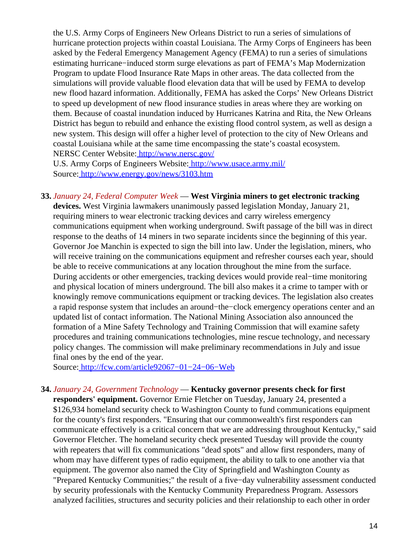the U.S. Army Corps of Engineers New Orleans District to run a series of simulations of hurricane protection projects within coastal Louisiana. The Army Corps of Engineers has been asked by the Federal Emergency Management Agency (FEMA) to run a series of simulations estimating hurricane−induced storm surge elevations as part of FEMA's Map Modernization Program to update Flood Insurance Rate Maps in other areas. The data collected from the simulations will provide valuable flood elevation data that will be used by FEMA to develop new flood hazard information. Additionally, FEMA has asked the Corps' New Orleans District to speed up development of new flood insurance studies in areas where they are working on them. Because of coastal inundation induced by Hurricanes Katrina and Rita, the New Orleans District has begun to rebuild and enhance the existing flood control system, as well as design a new system. This design will offer a higher level of protection to the city of New Orleans and coastal Louisiana while at the same time encompassing the state's coastal ecosystem. NERSC Center Website[: http://www.nersc.gov/](http://www.nersc.gov/)

U.S. Army Corps of Engineers Website:<http://www.usace.army.mil/> Source[: http://www.energy.gov/news/3103.htm](http://www.energy.gov/news/3103.htm)

**33.** *January 24, Federal Computer Week* — **West Virginia miners to get electronic tracking devices.** West Virginia lawmakers unanimously passed legislation Monday, January 21, requiring miners to wear electronic tracking devices and carry wireless emergency communications equipment when working underground. Swift passage of the bill was in direct response to the deaths of 14 miners in two separate incidents since the beginning of this year. Governor Joe Manchin is expected to sign the bill into law. Under the legislation, miners, who will receive training on the communications equipment and refresher courses each year, should be able to receive communications at any location throughout the mine from the surface. During accidents or other emergencies, tracking devices would provide real−time monitoring and physical location of miners underground. The bill also makes it a crime to tamper with or knowingly remove communications equipment or tracking devices. The legislation also creates a rapid response system that includes an around−the−clock emergency operations center and an updated list of contact information. The National Mining Association also announced the formation of a Mine Safety Technology and Training Commission that will examine safety procedures and training communications technologies, mine rescue technology, and necessary policy changes. The commission will make preliminary recommendations in July and issue final ones by the end of the year.

Source[: http://fcw.com/article92067−01−24−06−Web](http://fcw.com/article92067-01-24-06-Web)

#### **34.** *January 24, Government Technology* — **Kentucky governor presents check for first**

**responders' equipment.** Governor Ernie Fletcher on Tuesday, January 24, presented a \$126,934 homeland security check to Washington County to fund communications equipment for the county's first responders. "Ensuring that our commonwealth's first responders can communicate effectively is a critical concern that we are addressing throughout Kentucky," said Governor Fletcher. The homeland security check presented Tuesday will provide the county with repeaters that will fix communications "dead spots" and allow first responders, many of whom may have different types of radio equipment, the ability to talk to one another via that equipment. The governor also named the City of Springfield and Washington County as "Prepared Kentucky Communities;" the result of a five−day vulnerability assessment conducted by security professionals with the Kentucky Community Preparedness Program. Assessors analyzed facilities, structures and security policies and their relationship to each other in order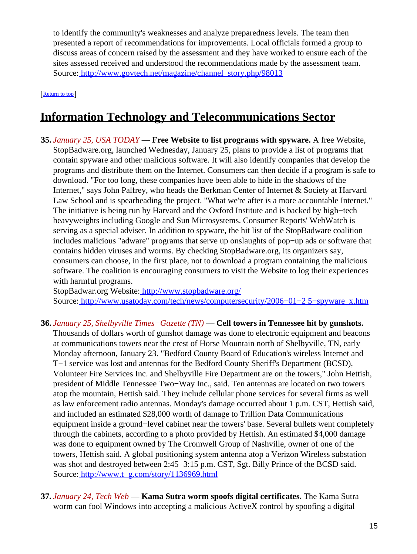to identify the community's weaknesses and analyze preparedness levels. The team then presented a report of recommendations for improvements. Local officials formed a group to discuss areas of concern raised by the assessment and they have worked to ensure each of the sites assessed received and understood the recommendations made by the assessment team. Source[: http://www.govtech.net/magazine/channel\\_story.php/98013](http://www.govtech.net/magazine/channel_story.php/98013)

[[Return to top](#page-0-1)]

## <span id="page-14-0"></span>**Information Technology and Telecommunications Sector**

**35.** *January 25, USA TODAY* — **Free Website to list programs with spyware.** A free Website, StopBadware.org, launched Wednesday, January 25, plans to provide a list of programs that contain spyware and other malicious software. It will also identify companies that develop the programs and distribute them on the Internet. Consumers can then decide if a program is safe to download. "For too long, these companies have been able to hide in the shadows of the Internet," says John Palfrey, who heads the Berkman Center of Internet & Society at Harvard Law School and is spearheading the project. "What we're after is a more accountable Internet." The initiative is being run by Harvard and the Oxford Institute and is backed by high−tech heavyweights including Google and Sun Microsystems. Consumer Reports' WebWatch is serving as a special adviser. In addition to spyware, the hit list of the StopBadware coalition includes malicious "adware" programs that serve up onslaughts of pop−up ads or software that contains hidden viruses and worms. By checking StopBadware.org, its organizers say, consumers can choose, in the first place, not to download a program containing the malicious software. The coalition is encouraging consumers to visit the Website to log their experiences with harmful programs.

StopBadwar.org Website:<http://www.stopbadware.org/> Source[: http://www.usatoday.com/tech/news/computersecurity/2006−01−2 5−spyware\\_x.htm](http://www.usatoday.com/tech/news/computersecurity/2006-01-25-spyware_x.htm)

- **36.** *January 25, Shelbyville Times−Gazette (TN)* — **Cell towers in Tennessee hit by gunshots.** Thousands of dollars worth of gunshot damage was done to electronic equipment and beacons at communications towers near the crest of Horse Mountain north of Shelbyville, TN, early Monday afternoon, January 23. "Bedford County Board of Education's wireless Internet and T−1 service was lost and antennas for the Bedford County Sheriff's Department (BCSD), Volunteer Fire Services Inc. and Shelbyville Fire Department are on the towers," John Hettish, president of Middle Tennessee Two−Way Inc., said. Ten antennas are located on two towers atop the mountain, Hettish said. They include cellular phone services for several firms as well as law enforcement radio antennas. Monday's damage occurred about 1 p.m. CST, Hettish said, and included an estimated \$28,000 worth of damage to Trillion Data Communications equipment inside a ground−level cabinet near the towers' base. Several bullets went completely through the cabinets, according to a photo provided by Hettish. An estimated \$4,000 damage was done to equipment owned by The Cromwell Group of Nashville, owner of one of the towers, Hettish said. A global positioning system antenna atop a Verizon Wireless substation was shot and destroyed between 2:45−3:15 p.m. CST, Sgt. Billy Prince of the BCSD said. Source[: http://www.t−g.com/story/1136969.html](http://www.t-g.com/story/1136969.html)
- **37.** *January 24, Tech Web* — **Kama Sutra worm spoofs digital certificates.** The Kama Sutra worm can fool Windows into accepting a malicious ActiveX control by spoofing a digital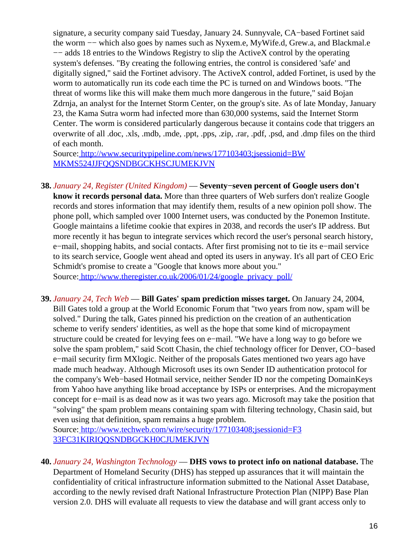signature, a security company said Tuesday, January 24. Sunnyvale, CA−based Fortinet said the worm −− which also goes by names such as Nyxem.e, MyWife.d, Grew.a, and Blackmal.e −− adds 18 entries to the Windows Registry to slip the ActiveX control by the operating system's defenses. "By creating the following entries, the control is considered 'safe' and digitally signed," said the Fortinet advisory. The ActiveX control, added Fortinet, is used by the worm to automatically run its code each time the PC is turned on and Windows boots. "The threat of worms like this will make them much more dangerous in the future," said Bojan Zdrnja, an analyst for the Internet Storm Center, on the group's site. As of late Monday, January 23, the Kama Sutra worm had infected more than 630,000 systems, said the Internet Storm Center. The worm is considered particularly dangerous because it contains code that triggers an overwrite of all .doc, .xls, .mdb, .mde, .ppt, .pps, .zip, .rar, .pdf, .psd, and .dmp files on the third of each month.

Source[: http://www.securitypipeline.com/news/177103403;jsessionid=BW](http://www.securitypipeline.com/news/177103403;jsessionid=BWMKMS524JJFQQSNDBGCKHSCJUMEKJVN) [MKMS524JJFQQSNDBGCKHSCJUMEKJVN](http://www.securitypipeline.com/news/177103403;jsessionid=BWMKMS524JJFQQSNDBGCKHSCJUMEKJVN)

- **38.** *January 24, Register (United Kingdom)* — **Seventy−seven percent of Google users don't know it records personal data.** More than three quarters of Web surfers don't realize Google records and stores information that may identify them, results of a new opinion poll show. The phone poll, which sampled over 1000 Internet users, was conducted by the Ponemon Institute. Google maintains a lifetime cookie that expires in 2038, and records the user's IP address. But more recently it has begun to integrate services which record the user's personal search history, e−mail, shopping habits, and social contacts. After first promising not to tie its e−mail service to its search service, Google went ahead and opted its users in anyway. It's all part of CEO Eric Schmidt's promise to create a "Google that knows more about you." Source[: http://www.theregister.co.uk/2006/01/24/google\\_privacy\\_poll/](http://www.theregister.co.uk/2006/01/24/google_privacy_poll/)
- **39.** *January 24, Tech Web* — **Bill Gates' spam prediction misses target.** On January 24, 2004, Bill Gates told a group at the World Economic Forum that "two years from now, spam will be solved." During the talk, Gates pinned his prediction on the creation of an authentication scheme to verify senders' identities, as well as the hope that some kind of micropayment

structure could be created for levying fees on e−mail. "We have a long way to go before we solve the spam problem," said Scott Chasin, the chief technology officer for Denver, CO−based e−mail security firm MXlogic. Neither of the proposals Gates mentioned two years ago have made much headway. Although Microsoft uses its own Sender ID authentication protocol for the company's Web−based Hotmail service, neither Sender ID nor the competing DomainKeys from Yahoo have anything like broad acceptance by ISPs or enterprises. And the micropayment concept for e−mail is as dead now as it was two years ago. Microsoft may take the position that "solving" the spam problem means containing spam with filtering technology, Chasin said, but even using that definition, spam remains a huge problem.

Source[: http://www.techweb.com/wire/security/177103408;jsessionid=F3](http://www.techweb.com/wire/security/177103408;jsessionid=F333FC31KIRIQQSNDBGCKH0CJUMEKJVN) [33FC31KIRIQQSNDBGCKH0CJUMEKJVN](http://www.techweb.com/wire/security/177103408;jsessionid=F333FC31KIRIQQSNDBGCKH0CJUMEKJVN)

**40.** *January 24, Washington Technology* — **DHS vows to protect info on national database.** The Department of Homeland Security (DHS) has stepped up assurances that it will maintain the confidentiality of critical infrastructure information submitted to the National Asset Database, according to the newly revised draft National Infrastructure Protection Plan (NIPP) Base Plan version 2.0. DHS will evaluate all requests to view the database and will grant access only to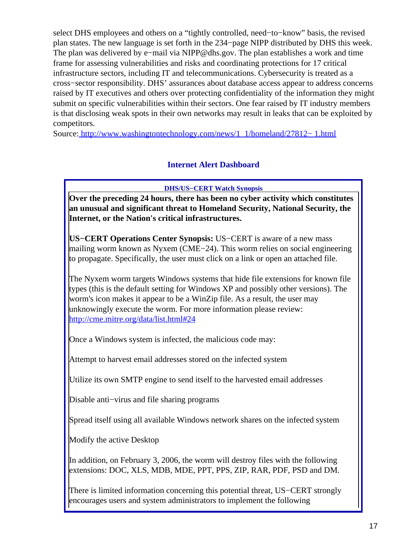select DHS employees and others on a "tightly controlled, need−to−know" basis, the revised plan states. The new language is set forth in the 234−page NIPP distributed by DHS this week. The plan was delivered by e−mail via NIPP@dhs.gov. The plan establishes a work and time frame for assessing vulnerabilities and risks and coordinating protections for 17 critical infrastructure sectors, including IT and telecommunications. Cybersecurity is treated as a cross−sector responsibility. DHS' assurances about database access appear to address concerns raised by IT executives and others over protecting confidentiality of the information they might submit on specific vulnerabilities within their sectors. One fear raised by IT industry members is that disclosing weak spots in their own networks may result in leaks that can be exploited by competitors.

<span id="page-16-0"></span>Source[: http://www.washingtontechnology.com/news/1\\_1/homeland/27812− 1.html](http://www.washingtontechnology.com/news/1_1/homeland/27812-1.html)

#### **Internet Alert Dashboard**

**DHS/US−CERT Watch Synopsis**

**Over the preceding 24 hours, there has been no cyber activity which constitutes an unusual and significant threat to Homeland Security, National Security, the Internet, or the Nation's critical infrastructures.**

**US−CERT Operations Center Synopsis:** US−CERT is aware of a new mass mailing worm known as Nyxem (CME−24). This worm relies on social engineering to propagate. Specifically, the user must click on a link or open an attached file.

The Nyxem worm targets Windows systems that hide file extensions for known file types (this is the default setting for Windows XP and possibly other versions). The worm's icon makes it appear to be a WinZip file. As a result, the user may unknowingly execute the worm. For more information please review: <http://cme.mitre.org/data/list.html#24>

Once a Windows system is infected, the malicious code may:

Attempt to harvest email addresses stored on the infected system

Utilize its own SMTP engine to send itself to the harvested email addresses

Disable anti−virus and file sharing programs

Spread itself using all available Windows network shares on the infected system

Modify the active Desktop

In addition, on February 3, 2006, the worm will destroy files with the following extensions: DOC, XLS, MDB, MDE, PPT, PPS, ZIP, RAR, PDF, PSD and DM.

There is limited information concerning this potential threat, US−CERT strongly encourages users and system administrators to implement the following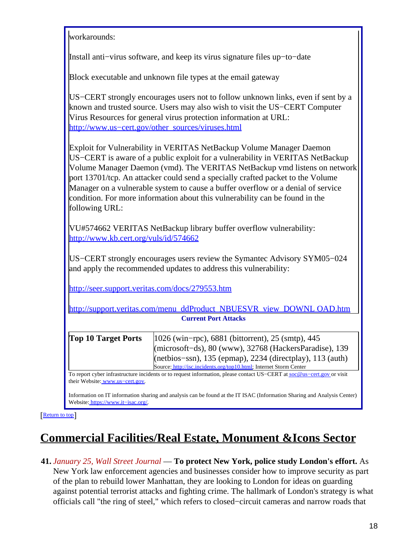| workarounds:                                                                                                                                                                                                                                                                             |                                                                                                                                                                                                                                                                                                                                                                                                                                                                                           |  |
|------------------------------------------------------------------------------------------------------------------------------------------------------------------------------------------------------------------------------------------------------------------------------------------|-------------------------------------------------------------------------------------------------------------------------------------------------------------------------------------------------------------------------------------------------------------------------------------------------------------------------------------------------------------------------------------------------------------------------------------------------------------------------------------------|--|
| Install anti-virus software, and keep its virus signature files up-to-date                                                                                                                                                                                                               |                                                                                                                                                                                                                                                                                                                                                                                                                                                                                           |  |
| Block executable and unknown file types at the email gateway                                                                                                                                                                                                                             |                                                                                                                                                                                                                                                                                                                                                                                                                                                                                           |  |
| US–CERT strongly encourages users not to follow unknown links, even if sent by a<br>known and trusted source. Users may also wish to visit the US-CERT Computer<br>Virus Resources for general virus protection information at URL:<br>http://www.us-cert.gov/other_sources/viruses.html |                                                                                                                                                                                                                                                                                                                                                                                                                                                                                           |  |
| following URL:                                                                                                                                                                                                                                                                           | Exploit for Vulnerability in VERITAS NetBackup Volume Manager Daemon<br>US–CERT is aware of a public exploit for a vulnerability in VERITAS NetBackup<br>Volume Manager Daemon (vmd). The VERITAS NetBackup vmd listens on network<br>port 13701/tcp. An attacker could send a specially crafted packet to the Volume<br>Manager on a vulnerable system to cause a buffer overflow or a denial of service<br>condition. For more information about this vulnerability can be found in the |  |
| http://www.kb.cert.org/vuls/id/574662                                                                                                                                                                                                                                                    | VU#574662 VERITAS NetBackup library buffer overflow vulnerability:                                                                                                                                                                                                                                                                                                                                                                                                                        |  |
|                                                                                                                                                                                                                                                                                          | US–CERT strongly encourages users review the Symantec Advisory SYM05–024<br>and apply the recommended updates to address this vulnerability:                                                                                                                                                                                                                                                                                                                                              |  |
| http://seer.support.veritas.com/docs/279553.htm                                                                                                                                                                                                                                          |                                                                                                                                                                                                                                                                                                                                                                                                                                                                                           |  |
| http://support.veritas.com/menu_ddProduct_NBUESVR_view_DOWNL_OAD.htm                                                                                                                                                                                                                     |                                                                                                                                                                                                                                                                                                                                                                                                                                                                                           |  |
|                                                                                                                                                                                                                                                                                          | <b>Current Port Attacks</b>                                                                                                                                                                                                                                                                                                                                                                                                                                                               |  |
| <b>Top 10 Target Ports</b>                                                                                                                                                                                                                                                               | 1026 (win-rpc), 6881 (bittorrent), 25 (smtp), 445<br>(microsoft-ds), 80 (www), 32768 (HackersParadise), 139<br>(netbios-ssn), 135 (epmap), 2234 (directplay), 113 (auth)<br>Source: http://isc.incidents.org/top10.html; Internet Storm Center                                                                                                                                                                                                                                            |  |
| their Website: www.us-cert.gov.                                                                                                                                                                                                                                                          | To report cyber infrastructure incidents or to request information, please contact US-CERT at soc@us-cert.gov or visit                                                                                                                                                                                                                                                                                                                                                                    |  |
| Website: https://www.it-isac.org/.                                                                                                                                                                                                                                                       | Information on IT information sharing and analysis can be found at the IT ISAC (Information Sharing and Analysis Center)                                                                                                                                                                                                                                                                                                                                                                  |  |

[[Return to top](#page-0-1)]

# <span id="page-17-0"></span>**Commercial Facilities/Real Estate, Monument &Icons Sector**

**41.** *January 25, Wall Street Journal* — **To protect New York, police study London's effort.** As New York law enforcement agencies and businesses consider how to improve security as part of the plan to rebuild lower Manhattan, they are looking to London for ideas on guarding against potential terrorist attacks and fighting crime. The hallmark of London's strategy is what officials call "the ring of steel," which refers to closed−circuit cameras and narrow roads that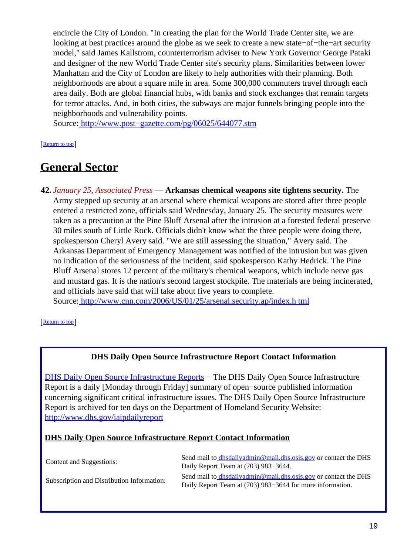encircle the City of London. "In creating the plan for the World Trade Center site, we are looking at best practices around the globe as we seek to create a new state−of−the−art security model," said James Kallstrom, counterterrorism adviser to New York Governor George Pataki and designer of the new World Trade Center site's security plans. Similarities between lower Manhattan and the City of London are likely to help authorities with their planning. Both neighborhoods are about a square mile in area. Some 300,000 commuters travel through each area daily. Both are global financial hubs, with banks and stock exchanges that remain targets for terror attacks. And, in both cities, the subways are major funnels bringing people into the neighborhoods and vulnerability points.

Source[: http://www.post−gazette.com/pg/06025/644077.stm](http://www.post-gazette.com/pg/06025/644077.stm)

[[Return to top](#page-0-1)]

### <span id="page-18-0"></span>**General Sector**

**42.** *January 25, Associated Press* — **Arkansas chemical weapons site tightens security.** The Army stepped up security at an arsenal where chemical weapons are stored after three people entered a restricted zone, officials said Wednesday, January 25. The security measures were taken as a precaution at the Pine Bluff Arsenal after the intrusion at a forested federal preserve 30 miles south of Little Rock. Officials didn't know what the three people were doing there, spokesperson Cheryl Avery said. "We are still assessing the situation," Avery said. The Arkansas Department of Emergency Management was notified of the intrusion but was given no indication of the seriousness of the incident, said spokesperson Kathy Hedrick. The Pine Bluff Arsenal stores 12 percent of the military's chemical weapons, which include nerve gas and mustard gas. It is the nation's second largest stockpile. The materials are being incinerated, and officials have said that will take about five years to complete. Source[: http://www.cnn.com/2006/US/01/25/arsenal.security.ap/index.h tml](http://www.cnn.com/2006/US/01/25/arsenal.security.ap/index.html)

[[Return to top](#page-0-1)]

#### **DHS Daily Open Source Infrastructure Report Contact Information**

<span id="page-18-1"></span>[DHS Daily Open Source Infrastructure Reports](http://www.dhs.gov/iaipdailyreport) – The DHS Daily Open Source Infrastructure Report is a daily [Monday through Friday] summary of open−source published information concerning significant critical infrastructure issues. The DHS Daily Open Source Infrastructure Report is archived for ten days on the Department of Homeland Security Website: <http://www.dhs.gov/iaipdailyreport>

#### **DHS Daily Open Source Infrastructure Report Contact Information**

| Content and Suggestions:                   | Send mail to dhsdailyadmin@mail.dhs.osis.gov or contact the DHS<br>Daily Report Team at (703) 983–3644.                             |
|--------------------------------------------|-------------------------------------------------------------------------------------------------------------------------------------|
| Subscription and Distribution Information: | Send mail to <i>dhsdailyadmin@mail.dhs.osis.gov</i> or contact the DHS<br>Daily Report Team at (703) 983–3644 for more information. |